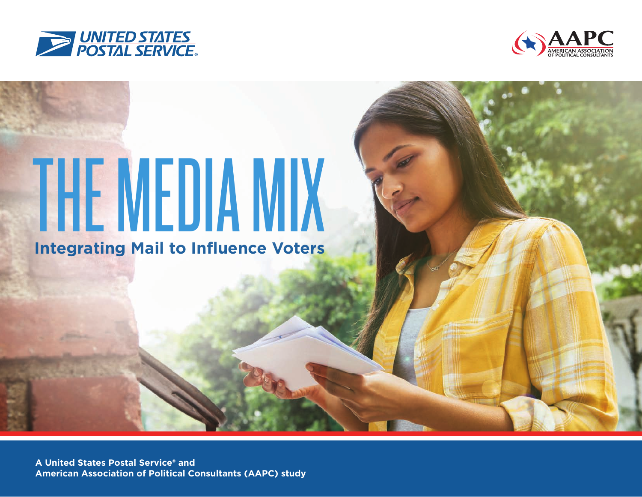



# THE MEDIA MIX

**Integrating Mail to Influence Voters**

**A United States Postal Service® and American Association of Political Consultants (AAPC) study**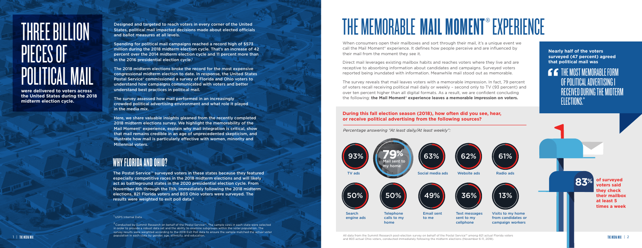Designed and targeted to reach voters in every corner of the United States, political mail impacted decisions made about elected officials and ballot measures at all levels.

Spending for political mail campaigns reached a record high of \$573 million during the 2018 midterm election cycle. That's an increase of 42 percent over the 2014 midterm election cycle and 11 percent more than in the 2016 presidential election cycle.<sup>1</sup>

The 2018 midterm elections broke the record for the most expensive congressional midterm election to date. In response, the United States Postal Service® commissioned a survey of Florida and Ohio voters to understand how campaigns communicated with voters and better understand best practices in political mail.

The survey assessed how mail performed in an increasingly crowded political advertising environment and what role it played in the media mix.

Here, we share valuable insights gleaned from the recently completed 2018 midterm elections survey. We highlight the memorability of the Mail Moment® experience, explain why mail integration is critical, show that mail remains credible in an age of unprecedented skepticism, and illustrate how mail is particularly effective with women, minority and Millennial voters.

**were delivered to voters across the United States during the 2018 midterm election cycle.**

# THREE BILLION PIECES OF POLITICAL MAIL

**THE MOST MEMORABLE FORM** OF POLITICAL ADVERTISING I RECEIVED DURING THE MIDTERM ELECTIONS."

<sup>2</sup> Conducted by Summit Research on behalf of the Postal Service™. The sample sizes in each state were selected in order to provide a robust data set and the ability to examine subgroups within the voter population. The survey results were weighted according to the 2018 Exit Poll data to ensure the sample matched the actual voter population in each state by gender, age, ethnicity, and education.

### WHY FLORIDA AND OHIO?

The Postal Service™ surveyed voters in these states because they featured especially competitive races in the 2018 midterm elections and will likely act as battleground states in the 2020 presidential election cycle. From November 6th through the 11th, immediately following the 2018 midterm elections, 821 Florida voters and 803 Ohio voters were surveyed. The results were weighted to exit poll data.<sup>2</sup>

### <sup>1</sup> USPS Internal Data.

# THE MEMORABLE MAIL MOMENT® EXPERIENCE

When consumers open their mailboxes and sort through their mail, it's a unique event we call the Mail Moment® experience. It defines how people perceive and are influenced by their mail from the moment they see it.

All data from the Summit Research post-election survey on behalf of the Postal Service<sup>ns</sup> among 821 actual Florida voters and and some the Multiple of the Postal Service and Social Ohio voters, conducted immediately follo All data from the Summit Research post-election survey on behalf of the Postal Service™ among 821 actual Florida voters

Direct mail leverages existing mailbox habits and reaches voters where they live and are receptive to absorbing information about candidates and campaigns. Surveyed voters reported being inundated with information. Meanwhile mail stood out as memorable.

The survey reveals that mail leaves voters with a memorable impression. In fact, 79 percent of voters recall receiving political mail daily or weekly – second only to TV (93 percent) and over ten percent higher than all digital formats. As a result, we are confident concluding the following: **the Mail Moment® experience leaves a memorable impression on voters.**

> **of surveyed voters said they check their mailbox at least 5 times a week**

### **During this fall election season (2018), how often did you see, hear,**

### **or receive political advertising from the following sources?**

**Nearly half of the voters surveyed (47 percent) agreed that political mail was** 

*Percentage answering "At least daily/At least weekly":*





**83%**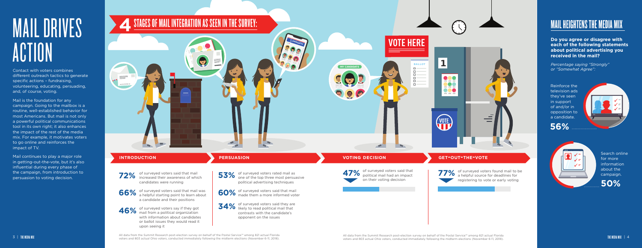of surveyed voters said that mail increased their awareness of which candidates were running

of surveyed voters said that mail was **66%** of surveyed voters said that mail was **60%** a candidate and their positions



of surveyed voters say if they got **46%** of surveyed voters say if they got **34%** with information about candidates or ballot issues they would read it upon seeing it

77% of surveyed voters found mail to be<br>a helpful source for deadlines for a helpful source for deadlines for registering to vote or early voting

47% of surveyed voters said that political mail had an impact

# MAIL DRIVES **ACTION**

one of the top three most persuasive political advertising techniques

of surveyed voters said that mail made them a more informed voter

of surveyed voters said they are likely to read political mail that contrasts with the candidate's opponent on the issues



on their voting decision

Contact with voters combines different outreach tactics to generate specific actions – fundraising, volunteering, educating, persuading, and, of course, voting.

Mail is the foundation for any campaign. Going to the mailbox is a routine, well-established behavior for most Americans. But mail is not only a powerful political communications tool in its own right; it also enhances the impact of the rest of the media mix. For example, it motivates voters to go online and reinforces the impact of TV.



Mail continues to play a major role in getting-out-the-vote, but it's also influential during every phase of the campaign, from introduction to persuasion to voting decision.

**Do you agree or disagree with each of the following statements about political advertising you received in the mail?** 

*Percentage saying "Strongly" or "Somewhat Agree":*

### MAIL HEIGHTENS THE MEDIA MIX

Search online for more information about the campaign.

Reinforce the television ads they've seen in support of and/or in opposition to a candidate.

**50%**

**56%**





All data from the Summit Research post-election survey on behalf of the Postal Service™ among 821 actual Florida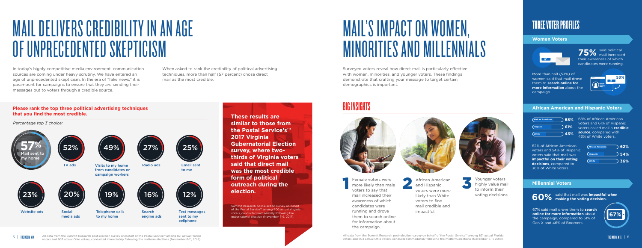### THREE VOTER PROFILES

67% said mail drove them to **search online for more information** about the campaign, compared to 51% of Gen X and 46% of Boomers.

### **Women Voters**



### **African American and Hispanic Voters**

### **Millennial Voters**

said political 75% said political mail increased their awareness of which candidates were running.

More than half (53%) of women said that mail drove them to **search online for more information** about the campaign.



68% of African American voters and 61% of Hispanic voters called mail a **credible source**, compared with 43% of White voters.

# MAIL DELIVERS CREDIBILITY IN AN AGE OF UNPRECEDENTED SKEPTICISM

# MAIL'S IMPACT ON WOMEN, MINORITIES AND MILLENNIALS

African American and Hispanic voters were more likely than White voters to find mail credible and impactful. Female voters were<br>
more likely than male<br>
voters to say that<br>
voters were more



In today's highly competitive media environment, communication sources are coming under heavy scrutiny. We have entered an age of unprecedented skepticism. In the era of "fake news," it is paramount for campaigns to ensure that they are sending their messages out to voters through a credible source.

Surveyed voters reveal how direct mail is particularly effective with women, minorities, and younger voters. These findings demonstrate that crafting your message to target certain demographics is important.

### BIG INSIGHTS



Female voters were more likely than male voters to say that mail increased their awareness of which candidates were running and drove them to search online for information about the campaign.



Younger voters highly value mail to inform their voting decisions.



**These results are similar to those from the Postal Service's**™ **2017 Virginia Gubernatorial Election survey, where twothirds of Virginia voters said that direct mail was the most credible form of political outreach during the election.**

### **Please rank the top three political advertising techniques that you find the most credible.**



When asked to rank the credibility of political advertising techniques, more than half (57 percent) chose direct mail as the most credible.

*Percentage top 3 choice:*

Summit Research post-election survey on behalf of the Postal Service™ among 900 actual Virginia voters, conducted immediately following the gubernatorial election (November 7-9, 2017).





62% of African American voters and 54% of Hispanic voters said that mail was **impactful on their voting decisions**, compared to 36% of White voters.

said that mail was **impactful when 60% making the voting decision.**



All data from the Summit Research post-election survey on behalf of the Postal Service™ among 821 actual Florida